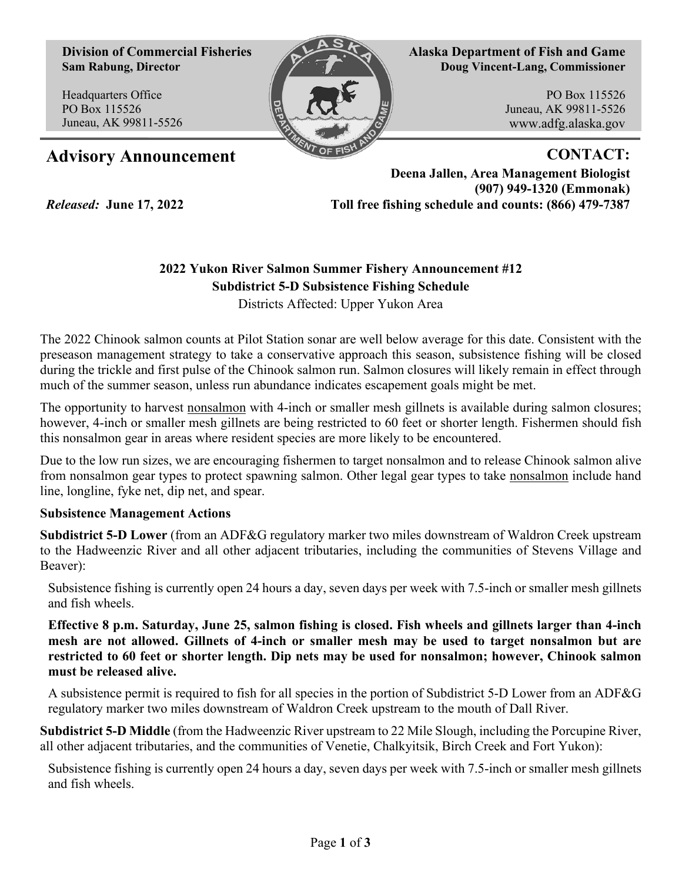**Division of Commercial Fisheries Sam Rabung, Director**

Headquarters Office PO Box 115526 Juneau, AK 99811-5526

*Released:* **June 17, 2022**



**Alaska Department of Fish and Game Doug Vincent-Lang, Commissioner**

> PO Box 115526 Juneau, AK 99811-5526 www.adfg.alaska.gov

## Advisory Announcement **CONTACT:**

**Deena Jallen, Area Management Biologist (907) 949-1320 (Emmonak) Toll free fishing schedule and counts: (866) 479-7387**

## **2022 Yukon River Salmon Summer Fishery Announcement #12 Subdistrict 5-D Subsistence Fishing Schedule**

Districts Affected: Upper Yukon Area

The 2022 Chinook salmon counts at Pilot Station sonar are well below average for this date. Consistent with the preseason management strategy to take a conservative approach this season, subsistence fishing will be closed during the trickle and first pulse of the Chinook salmon run. Salmon closures will likely remain in effect through much of the summer season, unless run abundance indicates escapement goals might be met.

The opportunity to harvest nonsalmon with 4-inch or smaller mesh gillnets is available during salmon closures; however, 4-inch or smaller mesh gillnets are being restricted to 60 feet or shorter length. Fishermen should fish this nonsalmon gear in areas where resident species are more likely to be encountered.

Due to the low run sizes, we are encouraging fishermen to target nonsalmon and to release Chinook salmon alive from nonsalmon gear types to protect spawning salmon. Other legal gear types to take nonsalmon include hand line, longline, fyke net, dip net, and spear.

## **Subsistence Management Actions**

**Subdistrict 5-D Lower** (from an ADF&G regulatory marker two miles downstream of Waldron Creek upstream to the Hadweenzic River and all other adjacent tributaries, including the communities of Stevens Village and Beaver):

Subsistence fishing is currently open 24 hours a day, seven days per week with 7.5-inch or smaller mesh gillnets and fish wheels.

**Effective 8 p.m. Saturday, June 25, salmon fishing is closed. Fish wheels and gillnets larger than 4-inch mesh are not allowed. Gillnets of 4-inch or smaller mesh may be used to target nonsalmon but are restricted to 60 feet or shorter length. Dip nets may be used for nonsalmon; however, Chinook salmon must be released alive.**

A subsistence permit is required to fish for all species in the portion of Subdistrict 5-D Lower from an ADF&G regulatory marker two miles downstream of Waldron Creek upstream to the mouth of Dall River.

**Subdistrict 5-D Middle** (from the Hadweenzic River upstream to 22 Mile Slough, including the Porcupine River, all other adjacent tributaries, and the communities of Venetie, Chalkyitsik, Birch Creek and Fort Yukon):

Subsistence fishing is currently open 24 hours a day, seven days per week with 7.5-inch or smaller mesh gillnets and fish wheels.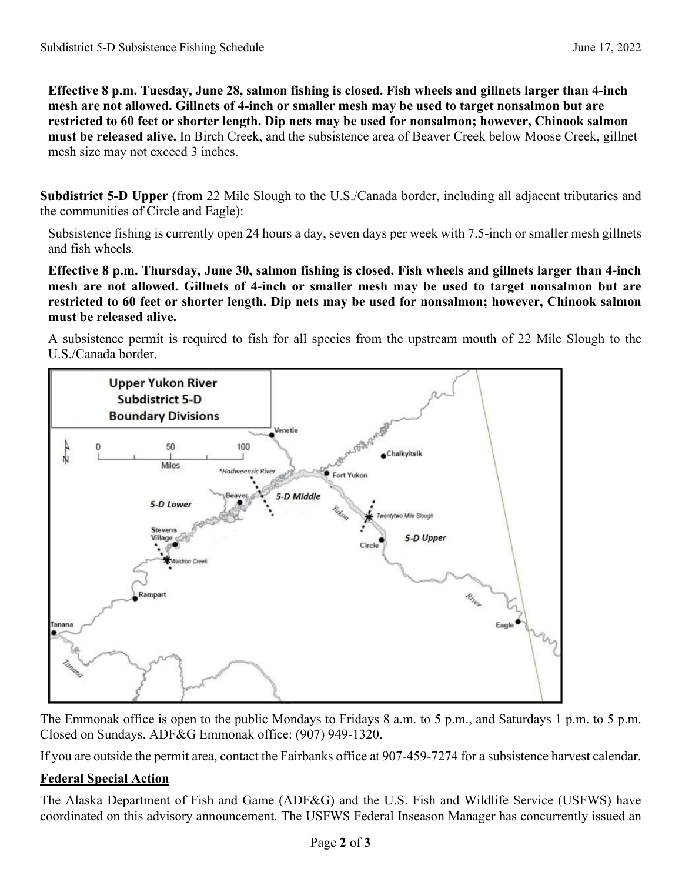**Effective 8 p.m. Tuesday, June 28, salmon fishing is closed. Fish wheels and gillnets larger than 4-inch mesh are not allowed. Gillnets of 4-inch or smaller mesh may be used to target nonsalmon but are restricted to 60 feet or shorter length. Dip nets may be used for nonsalmon; however, Chinook salmon must be released alive.** In Birch Creek, and the subsistence area of Beaver Creek below Moose Creek, gillnet mesh size may not exceed 3 inches.

**Subdistrict 5-D Upper** (from 22 Mile Slough to the U.S./Canada border, including all adjacent tributaries and the communities of Circle and Eagle):

Subsistence fishing is currently open 24 hours a day, seven days per week with 7.5-inch or smaller mesh gillnets and fish wheels.

**Effective 8 p.m. Thursday, June 30, salmon fishing is closed. Fish wheels and gillnets larger than 4-inch mesh are not allowed. Gillnets of 4-inch or smaller mesh may be used to target nonsalmon but are restricted to 60 feet or shorter length. Dip nets may be used for nonsalmon; however, Chinook salmon must be released alive.**

A subsistence permit is required to fish for all species from the upstream mouth of 22 Mile Slough to the U.S./Canada border.



The Emmonak office is open to the public Mondays to Fridays 8 a.m. to 5 p.m., and Saturdays 1 p.m. to 5 p.m. Closed on Sundays. ADF&G Emmonak office: (907) 949-1320.

If you are outside the permit area, contact the Fairbanks office at 907-459-7274 for a subsistence harvest calendar.

## **Federal Special Action**

The Alaska Department of Fish and Game (ADF&G) and the U.S. Fish and Wildlife Service (USFWS) have coordinated on this advisory announcement. The USFWS Federal Inseason Manager has concurrently issued an